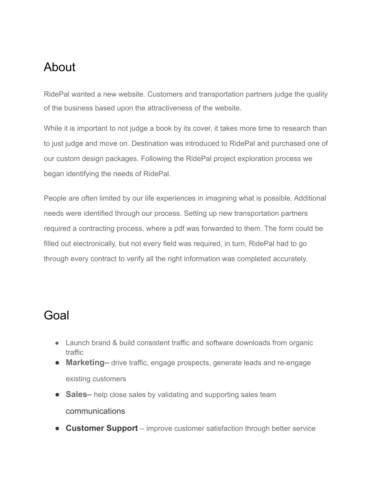## About

RidePal wanted a new website. Customers and transportation partners judge the quality of the business based upon the attractiveness of the website.

While it is important to not judge a book by its cover, it takes more time to research than to just judge and move on. Destination was introduced to RidePal and purchased one of our custom design packages. Following the RidePal project exploration process we began identifying the needs of RidePal.

People are often limited by our life experiences in imagining what is possible. Additional needs were identified through our process. Setting up new transportation partners required a contracting process, where a pdf was forwarded to them. The form could be filled out electronically, but not every field was required, in turn, RidePal had to go through every contract to verify all the right information was completed accurately.

## Goal

- Launch brand & build consistent traffic and software downloads from organic traffic
- **Marketing** drive traffic, engage prospects, generate leads and re-engage existing customers
- **Sales** help close sales by validating and supporting sales team communications
- **Customer Support** improve customer satisfaction through better service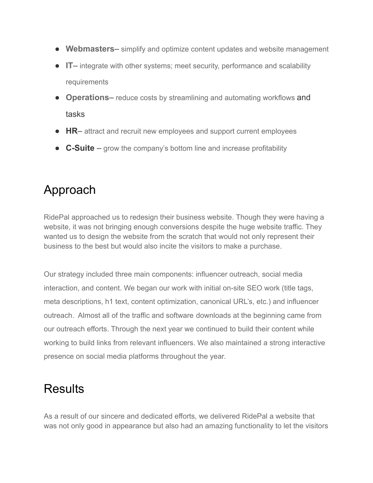- **Webmasters** simplify and optimize content updates and website management
- **IT** integrate with other systems; meet security, performance and scalability requirements
- **Operations** reduce costs by streamlining and automating workflows and tasks
- HR– attract and recruit new employees and support current employees
- **C-Suite** grow the company's bottom line and increase profitability

## Approach

RidePal approached us to redesign their business website. Though they were having a website, it was not bringing enough conversions despite the huge website traffic. They wanted us to design the website from the scratch that would not only represent their business to the best but would also incite the visitors to make a purchase.

Our strategy included three main components: influencer outreach, social media interaction, and content. We began our work with initial on-site SEO work (title tags, meta descriptions, h1 text, content optimization, canonical URL's, etc.) and influencer outreach. Almost all of the traffic and software downloads at the beginning came from our outreach efforts. Through the next year we continued to build their content while working to build links from relevant influencers. We also maintained a strong interactive presence on social media platforms throughout the year.

## **Results**

As a result of our sincere and dedicated efforts, we delivered RidePal a website that was not only good in appearance but also had an amazing functionality to let the visitors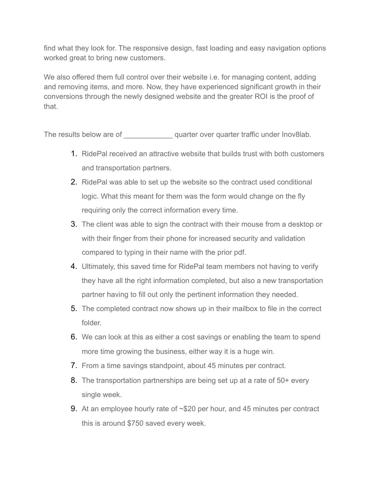find what they look for. The responsive design, fast loading and easy navigation options worked great to bring new customers.

We also offered them full control over their website i.e. for managing content, adding and removing items, and more. Now, they have experienced significant growth in their conversions through the newly designed website and the greater ROI is the proof of that.

The results below are of  $\qquad \qquad \qquad$  quarter over quarter traffic under Inov8lab.

- 1. RidePal received an attractive website that builds trust with both customers and transportation partners.
- 2. RidePal was able to set up the website so the contract used conditional logic. What this meant for them was the form would change on the fly requiring only the correct information every time.
- 3. The client was able to sign the contract with their mouse from a desktop or with their finger from their phone for increased security and validation compared to typing in their name with the prior pdf.
- 4. Ultimately, this saved time for RidePal team members not having to verify they have all the right information completed, but also a new transportation partner having to fill out only the pertinent information they needed.
- 5. The completed contract now shows up in their mailbox to file in the correct folder.
- 6. We can look at this as either a cost savings or enabling the team to spend more time growing the business, either way it is a huge win.
- 7. From a time savings standpoint, about 45 minutes per contract.
- 8. The transportation partnerships are being set up at a rate of 50+ every single week.
- 9. At an employee hourly rate of ~\$20 per hour, and 45 minutes per contract this is around \$750 saved every week.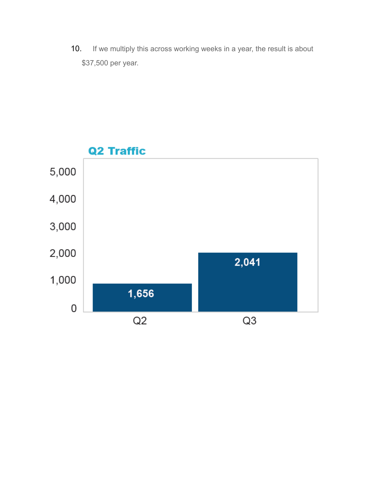10. If we multiply this across working weeks in a year, the result is about \$37,500 per year.

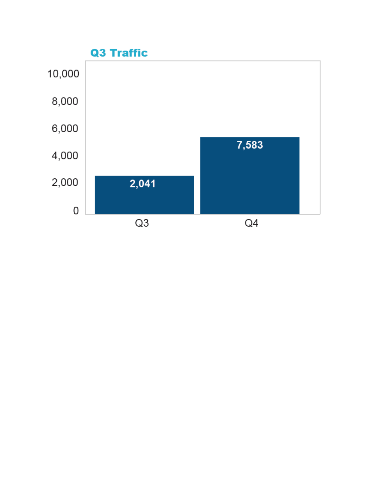